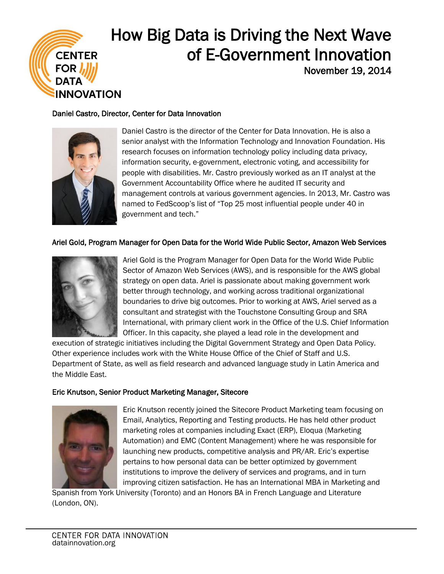

## How Big Data is Driving the Next Wave of E-Government Innovation November 19, 2014

### Daniel Castro, Director, Center for Data Innovation



Daniel Castro is the director of the Center for Data Innovation. He is also a senior analyst with the Information Technology and Innovation Foundation. His research focuses on information technology policy including data privacy, information security, e-government, electronic voting, and accessibility for people with disabilities. Mr. Castro previously worked as an IT analyst at the Government Accountability Office where he audited IT security and management controls at various government agencies. In 2013, Mr. Castro was named to FedScoop's list of "Top 25 most influential people under 40 in government and tech."

### Ariel Gold, Program Manager for Open Data for the World Wide Public Sector, Amazon Web Services



Ariel Gold is the Program Manager for Open Data for the World Wide Public Sector of Amazon Web Services (AWS), and is responsible for the AWS global strategy on open data. Ariel is passionate about making government work better through technology, and working across traditional organizational boundaries to drive big outcomes. Prior to working at AWS, Ariel served as a consultant and strategist with the Touchstone Consulting Group and SRA International, with primary client work in the Office of the U.S. Chief Information Officer. In this capacity, she played a lead role in the development and

execution of strategic initiatives including the Digital Government Strategy and Open Data Policy. Other experience includes work with the White House Office of the Chief of Staff and U.S. Department of State, as well as field research and advanced language study in Latin America and the Middle East.

### Eric Knutson, Senior Product Marketing Manager, Sitecore



Eric Knutson recently joined the Sitecore Product Marketing team focusing on Email, Analytics, Reporting and Testing products. He has held other product marketing roles at companies including Exact (ERP), Eloqua (Marketing Automation) and EMC (Content Management) where he was responsible for launching new products, competitive analysis and PR/AR. Eric's expertise pertains to how personal data can be better optimized by government institutions to improve the delivery of services and programs, and in turn improving citizen satisfaction. He has an International MBA in Marketing and

Spanish from York University (Toronto) and an Honors BA in French Language and Literature (London, ON).